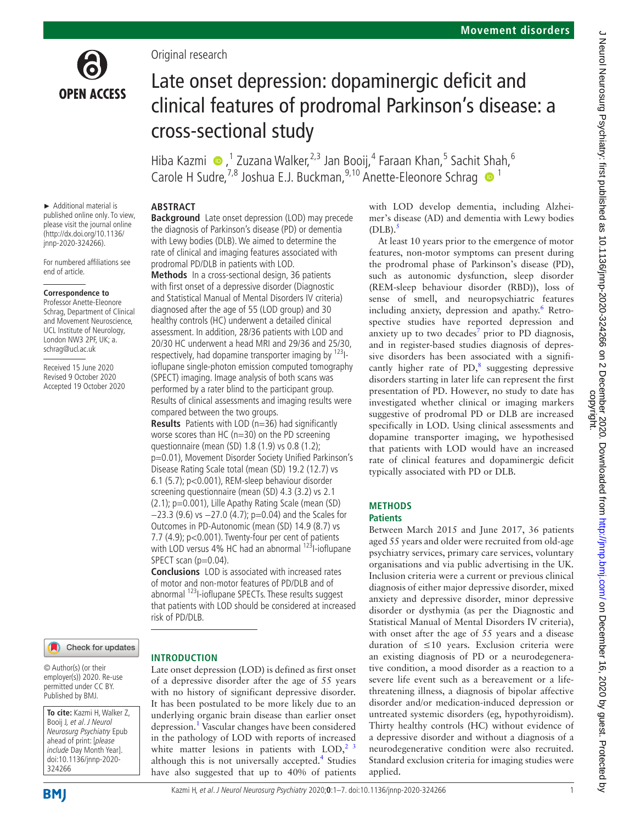

► Additional material is

please visit the journal online (http://dx.doi.org/10.1136/ jnnp-2020-324266).

For numbered affiliations see

**Correspondence to** Professor Anette-Eleonore Schrag, Department of Clinical and Movement Neuroscience, UCL Institute of Neurology, London NW3 2PF, UK; a. schrag@ucl.ac.uk Received 15 June 2020 Revised 9 October 2020 Accepted 19 October 2020

end of article.

Original research

# Late onset depression: dopaminergic deficit and clinical features of prodromal Parkinson's disease: a cross-sectional study

HibaKazmi (D,<sup>1</sup> Zuzana Walker,<sup>2,3</sup> Jan Booij,<sup>4</sup> Faraan Khan,<sup>5</sup> Sachit Shah,<sup>6</sup> Carole H Sudre, 7,8 Joshua E.J. Buckman, 9,10 Anette-Eleonore Schrag <sup>1</sup>

#### published online only. To view, **ABSTRACT**

**Background** Late onset depression (LOD) may precede the diagnosis of Parkinson's disease (PD) or dementia with Lewy bodies (DLB). We aimed to determine the rate of clinical and imaging features associated with prodromal PD/DLB in patients with LOD.

**Methods** In a cross-sectional design, 36 patients with first onset of a depressive disorder (Diagnostic and Statistical Manual of Mental Disorders IV criteria) diagnosed after the age of 55 (LOD group) and 30 healthy controls (HC) underwent a detailed clinical assessment. In addition, 28/36 patients with LOD and 20/30 HC underwent a head MRI and 29/36 and 25/30, respectively, had dopamine transporter imaging by <sup>123</sup>Iioflupane single-photon emission computed tomography (SPECT) imaging. Image analysis of both scans was performed by a rater blind to the participant group. Results of clinical assessments and imaging results were compared between the two groups.

**Results** Patients with LOD (n=36) had significantly worse scores than HC (n=30) on the PD screening questionnaire (mean (SD) 1.8 (1.9) vs 0.8 (1.2); p=0.01), Movement Disorder Society Unified Parkinson's Disease Rating Scale total (mean (SD) 19.2 (12.7) vs 6.1 (5.7); p<0.001), REM-sleep behaviour disorder screening questionnaire (mean (SD) 4.3 (3.2) vs 2.1 (2.1); p=0.001), Lille Apathy Rating Scale (mean (SD) −23.3 (9.6) vs −27.0 (4.7); p=0.04) and the Scales for Outcomes in PD-Autonomic (mean (SD) 14.9 (8.7) vs 7.7 (4.9); p<0.001). Twenty-four per cent of patients with LOD versus 4% HC had an abnormal <sup>123</sup>I-ioflupane SPECT scan (p=0.04).

**Conclusions** LOD is associated with increased rates of motor and non-motor features of PD/DLB and of abnormal <sup>123</sup>I-ioflupane SPECTs. These results suggest that patients with LOD should be considered at increased risk of PD/DLB.

Late onset depression (LOD) is defined as first onset of a depressive disorder after the age of 55 years with no history of significant depressive disorder. It has been postulated to be more likely due to an underlying organic brain disease than earlier onset depression.<sup>[1](#page-5-0)</sup> Vascular changes have been considered in the pathology of LOD with reports of increased white matter lesions in patients with  $LOD<sub>1</sub><sup>2-3</sup>$ although this is not universally accepted.<sup>[4](#page-6-0)</sup> Studies have also suggested that up to 40% of patients

**INTRODUCTION**

Check for updates

#### © Author(s) (or their employer(s)) 2020. Re-use permitted under CC BY. Published by BMJ.

**To cite:** Kazmi H, Walker Z, Booij J, et al. J Neurol Neurosurg Psychiatry Epub ahead of print: [please include Day Month Year]. doi:10.1136/jnnp-2020- 324266

with LOD develop dementia, including Alzheimer's disease (AD) and dementia with Lewy bodies  $(DLB).$ <sup>5</sup>

At least 10 years prior to the emergence of motor features, non-motor symptoms can present during the prodromal phase of Parkinson's disease (PD), such as autonomic dysfunction, sleep disorder (REM-sleep behaviour disorder (RBD)), loss of sense of smell, and neuropsychiatric features including anxiety, depression and apathy.<sup>[6](#page-6-2)</sup> Retrospective studies have reported depression and anxiety up to two decades<sup>[7](#page-6-3)</sup> prior to PD diagnosis, and in register-based studies diagnosis of depressive disorders has been associated with a significantly higher rate of  $PD<sub>1</sub><sup>8</sup>$  $PD<sub>1</sub><sup>8</sup>$  $PD<sub>1</sub><sup>8</sup>$  suggesting depressive disorders starting in later life can represent the first presentation of PD. However, no study to date has investigated whether clinical or imaging markers suggestive of prodromal PD or DLB are increased specifically in LOD. Using clinical assessments and dopamine transporter imaging, we hypothesised that patients with LOD would have an increased rate of clinical features and dopaminergic deficit typically associated with PD or DLB.

# **METHODS**

## **Patients**

Between March 2015 and June 2017, 36 patients aged 55 years and older were recruited from old-age psychiatry services, primary care services, voluntary organisations and via public advertising in the UK. Inclusion criteria were a current or previous clinical diagnosis of either major depressive disorder, mixed anxiety and depressive disorder, minor depressive disorder or dysthymia (as per the Diagnostic and Statistical Manual of Mental Disorders IV criteria), with onset after the age of 55 years and a disease duration of  $\leq 10$  years. Exclusion criteria were an existing diagnosis of PD or a neurodegenerative condition, a mood disorder as a reaction to a severe life event such as a bereavement or a lifethreatening illness, a diagnosis of bipolar affective disorder and/or medication-induced depression or untreated systemic disorders (eg, hypothyroidism). Thirty healthy controls (HC) without evidence of a depressive disorder and without a diagnosis of a neurodegenerative condition were also recruited. Standard exclusion criteria for imaging studies were applied.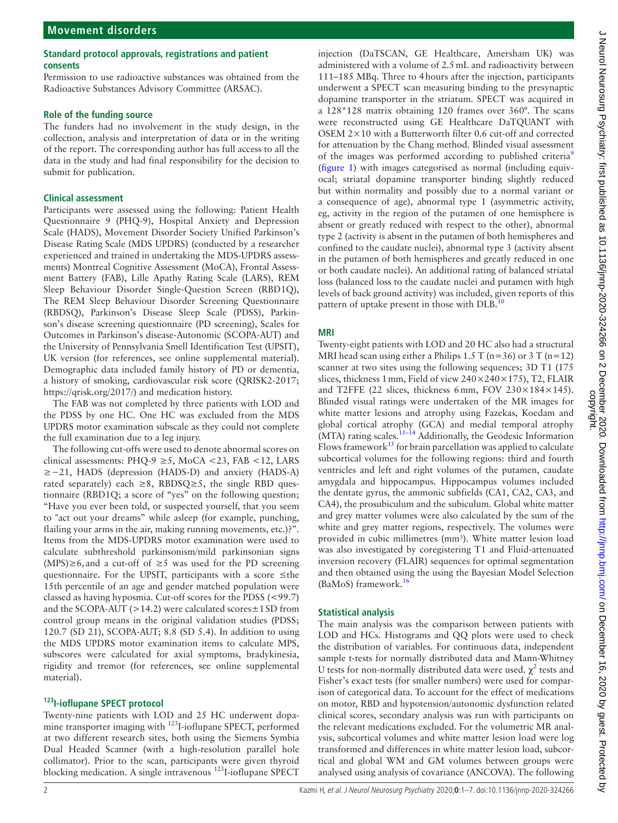#### **Standard protocol approvals, registrations and patient consents**

Permission to use radioactive substances was obtained from the Radioactive Substances Advisory Committee (ARSAC).

#### **Role of the funding source**

The funders had no involvement in the study design, in the collection, analysis and interpretation of data or in the writing of the report. The corresponding author has full access to all the data in the study and had final responsibility for the decision to submit for publication.

#### **Clinical assessment**

Participants were assessed using the following: Patient Health Questionnaire 9 (PHQ-9), Hospital Anxiety and Depression Scale (HADS), Movement Disorder Society Unified Parkinson's Disease Rating Scale (MDS UPDRS) (conducted by a researcher experienced and trained in undertaking the MDS-UPDRS assessments) Montreal Cognitive Assessment (MoCA), Frontal Assessment Battery (FAB), Lille Apathy Rating Scale (LARS), REM Sleep Behaviour Disorder Single-Question Screen (RBD1Q), The REM Sleep Behaviour Disorder Screening Questionnaire (RBDSQ), Parkinson's Disease Sleep Scale (PDSS), Parkinson's disease screening questionnaire (PD screening), Scales for Outcomes in Parkinson's disease-Autonomic (SCOPA-AUT) and the University of Pennsylvania Smell Identification Test (UPSIT), UK version (for references, see [online supplemental material](https://dx.doi.org/10.1136/jnnp-2020-324266)). Demographic data included family history of PD or dementia, a history of smoking, cardiovascular risk score (QRISK2-2017; [https://qrisk.org/2017/\)](https://qrisk.org/2017/) and medication history.

The FAB was not completed by three patients with LOD and the PDSS by one HC. One HC was excluded from the MDS UPDRS motor examination subscale as they could not complete the full examination due to a leg injury.

The following cut-offs were used to denote abnormal scores on clinical assessments: PHQ-9  $\geq$ 5, MoCA <23, FAB <12, LARS ≥−21, HADS (depression (HADS-D) and anxiety (HADS-A) rated separately) each  $\geq 8$ , RBDSQ $\geq 5$ , the single RBD questionnaire (RBD1Q; a score of "yes" on the following question; "Have you ever been told, or suspected yourself, that you seem to "act out your dreams" while asleep (for example, punching, flailing your arms in the air, making running movements, etc.)?". Items from the MDS-UPDRS motor examination were used to calculate subthreshold parkinsonism/mild parkinsonian signs  $(MPS) \ge 6$ , and a cut-off of  $\ge 5$  was used for the PD screening questionnaire. For the UPSIT, participants with a score ≤the 15th percentile of an age and gender matched population were classed as having hyposmia. Cut-off scores for the PDSS (<99.7) and the SCOPA-AUT (>14.2) were calculated scores±1SD from control group means in the original validation studies (PDSS; 120.7 (SD 21), SCOPA-AUT; 8.8 (SD 5.4). In addition to using the MDS UPDRS motor examination items to calculate MPS, subscores were calculated for axial symptoms, bradykinesia, rigidity and tremor (for references, see [online supplemental](https://dx.doi.org/10.1136/jnnp-2020-324266)  [material](https://dx.doi.org/10.1136/jnnp-2020-324266)).

## **123I-ioflupane SPECT protocol**

Twenty-nine patients with LOD and 25 HC underwent dopamine transporter imaging with <sup>123</sup>I-ioflupane SPECT, performed at two different research sites, both using the Siemens Symbia Dual Headed Scanner (with a high-resolution parallel hole collimator). Prior to the scan, participants were given thyroid blocking medication. A single intravenous <sup>123</sup>I-ioflupane SPECT

injection (DaTSCAN, GE Healthcare, Amersham UK) was administered with a volume of 2.5mL and radioactivity between 111–185 MBq. Three to 4hours after the injection, participants underwent a SPECT scan measuring binding to the presynaptic dopamine transporter in the striatum. SPECT was acquired in a 128\*128 matrix obtaining 120 frames over 360**°**. The scans were reconstructed using GE Healthcare DaTQUANT with OSEM 2×10 with a Butterworth filter 0.6 cut-off and corrected for attenuation by the Chang method. Blinded visual assessment of the images was performed according to published criteria<sup>[9](#page-6-5)</sup> ([figure](#page-2-0) 1) with images categorised as normal (including equivocal; striatal dopamine transporter binding slightly reduced but within normality and possibly due to a normal variant or a consequence of age), abnormal type 1 (asymmetric activity, eg, activity in the region of the putamen of one hemisphere is absent or greatly reduced with respect to the other), abnormal type 2 (activity is absent in the putamen of both hemispheres and confined to the caudate nuclei), abnormal type 3 (activity absent in the putamen of both hemispheres and greatly reduced in one or both caudate nuclei). An additional rating of balanced striatal loss (balanced loss to the caudate nuclei and putamen with high levels of back ground activity) was included, given reports of this pattern of uptake present in those with DLB.<sup>[10](#page-6-6)</sup>

## **MRI**

Twenty-eight patients with LOD and 20 HC also had a structural MRI head scan using either a Philips 1.5 T (n=36) or 3 T (n=12) scanner at two sites using the following sequences; 3D T1 (175 slices, thickness 1mm, Field of view 240×240×175), T2, FLAIR and T2FFE (22 slices, thickness 6mm, FOV 230×184×145). Blinded visual ratings were undertaken of the MR images for white matter lesions and atrophy using Fazekas, Koedam and global cortical atrophy (GCA) and medial temporal atrophy (MTA) rating scales.<sup>11–14</sup> Additionally, the Geodesic Information Flows framework $15$  for brain parcellation was applied to calculate subcortical volumes for the following regions: third and fourth ventricles and left and right volumes of the putamen, caudate amygdala and hippocampus. Hippocampus volumes included the dentate gyrus, the ammonic subfields (CA1, CA2, CA3, and CA4), the prosubiculum and the subiculum. Global white matter and grey matter volumes were also calculated by the sum of the white and grey matter regions, respectively. The volumes were provided in cubic millimetres (mm<sup>3</sup>). White matter lesion load was also investigated by coregistering T1 and Fluid-attenuated inversion recovery (FLAIR) sequences for optimal segmentation and then obtained using the using the Bayesian Model Selection (BaMoS) framework[.16](#page-6-9)

## **Statistical analysis**

The main analysis was the comparison between patients with LOD and HCs. Histograms and QQ plots were used to check the distribution of variables. For continuous data, independent sample t-tests for normally distributed data and Mann-Whitney U tests for non-normally distributed data were used.  $\chi^2$  tests and Fisher's exact tests (for smaller numbers) were used for comparison of categorical data. To account for the effect of medications on motor, RBD and hypotension/autonomic dysfunction related clinical scores, secondary analysis was run with participants on the relevant medications excluded. For the volumetric MR analysis, subcortical volumes and white matter lesion load were log transformed and differences in white matter lesion load, subcortical and global WM and GM volumes between groups were analysed using analysis of covariance (ANCOVA). The following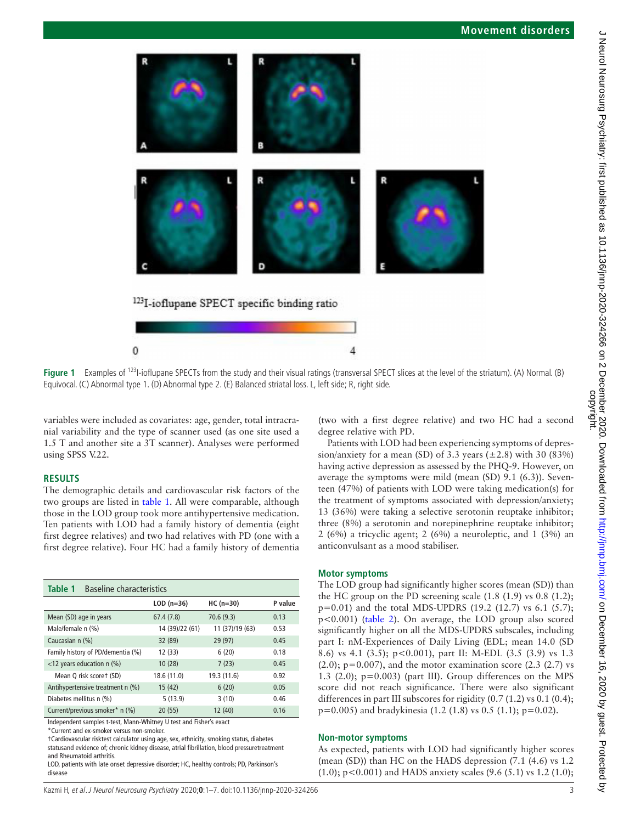

**Figure 1** Examples of 123I-ioflupane SPECTs from the study and their visual ratings (transversal SPECT slices at the level of the striatum). (A) Normal. (B) Equivocal. (C) Abnormal type 1. (D) Abnormal type 2. (E) Balanced striatal loss. L, left side; R, right side.

variables were included as covariates: age, gender, total intracranial variability and the type of scanner used (as one site used a 1.5 T and another site a 3T scanner). Analyses were performed using SPSS V.22.

#### **RESULTS**

The demographic details and cardiovascular risk factors of the two groups are listed in [table](#page-2-1) 1. All were comparable, although those in the LOD group took more antihypertensive medication. Ten patients with LOD had a family history of dementia (eight first degree relatives) and two had relatives with PD (one with a first degree relative). Four HC had a family history of dementia

<span id="page-2-1"></span>

| Table 1<br><b>Baseline characteristics</b> |                 |                 |         |  |  |  |
|--------------------------------------------|-----------------|-----------------|---------|--|--|--|
|                                            | $LOD(n=36)$     | $HC (n=30)$     | P value |  |  |  |
| Mean (SD) age in years                     | 67.4(7.8)       | 70.6(9.3)       | 0.13    |  |  |  |
| Male/female n (%)                          | 14 (39)/22 (61) | 11 (37)/19 (63) | 0.53    |  |  |  |
| Caucasian n (%)                            | 32 (89)         | 29 (97)         | 0.45    |  |  |  |
| Family history of PD/dementia (%)          | 12 (33)         | 6(20)           | 0.18    |  |  |  |
| $<$ 12 years education n (%)               | 10(28)          | 7(23)           | 0.45    |  |  |  |
| Mean O risk scoret (SD)                    | 18.6 (11.0)     | 19.3 (11.6)     | 0.92    |  |  |  |
| Antihypertensive treatment n (%)           | 15(42)          | 6(20)           | 0.05    |  |  |  |
| Diabetes mellitus n (%)                    | 5(13.9)         | 3(10)           | 0.46    |  |  |  |
| Current/previous smoker* n (%)             | 20(55)          | 12 (40)         | 0.16    |  |  |  |

Independent samples t-test, Mann-Whitney U test and Fisher's exact

\*Current and ex-smoker versus non-smoker.

†Cardiovascular risktest calculator using age, sex, ethnicity, smoking status, diabetes statusand evidence of; chronic kidney disease, atrial fibrillation, blood pressuretreatment and Rheumatoid arthritis.

LOD, patients with late onset depressive disorder; HC, healthy controls; PD, Parkinson's disease

<span id="page-2-0"></span>(two with a first degree relative) and two HC had a second degree relative with PD.

Patients with LOD had been experiencing symptoms of depression/anxiety for a mean (SD) of 3.3 years  $(\pm 2.8)$  with 30 (83%) having active depression as assessed by the PHQ-9. However, on average the symptoms were mild (mean (SD) 9.1 (6.3)). Seventeen (47%) of patients with LOD were taking medication(s) for the treatment of symptoms associated with depression/anxiety; 13 (36%) were taking a selective serotonin reuptake inhibitor; three (8%) a serotonin and norepinephrine reuptake inhibitor; 2 (6%) a tricyclic agent; 2 (6%) a neuroleptic, and 1 (3%) an anticonvulsant as a mood stabiliser.

#### **Motor symptoms**

The LOD group had significantly higher scores (mean (SD)) than the HC group on the PD screening scale (1.8 (1.9) vs 0.8 (1.2); p=0.01) and the total MDS-UPDRS (19.2 (12.7) vs 6.1 (5.7); p<0.001) ([table](#page-3-0) 2). On average, the LOD group also scored significantly higher on all the MDS-UPDRS subscales, including part I: nM-Experiences of Daily Living (EDL; mean 14.0 (SD 8.6) vs 4.1 (3.5); p<0.001), part II: M-EDL (3.5 (3.9) vs 1.3  $(2.0);$   $p=0.007$ , and the motor examination score  $(2.3 (2.7)$  vs 1.3 (2.0); p=0.003) (part III). Group differences on the MPS score did not reach significance. There were also significant differences in part III subscores for rigidity (0.7 (1.2) vs 0.1 (0.4); p=0.005) and bradykinesia (1.2 (1.8) vs 0.5 (1.1); p=0.02).

#### **Non-motor symptoms**

As expected, patients with LOD had significantly higher scores (mean (SD)) than HC on the HADS depression (7.1 (4.6) vs 1.2 (1.0); p<0.001) and HADS anxiety scales (9.6 (5.1) vs 1.2 (1.0);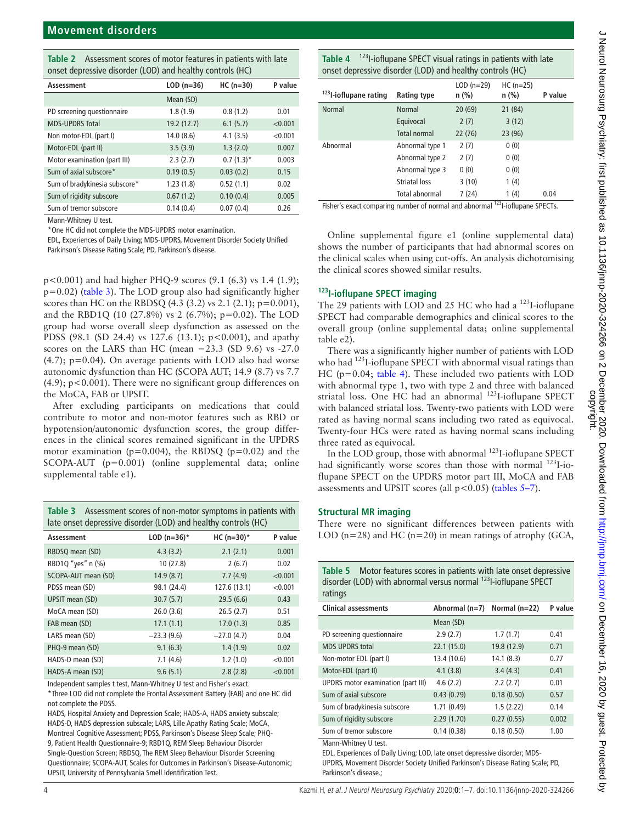<span id="page-3-0"></span>

| Table 2 Assessment scores of motor features in patients with late |  |
|-------------------------------------------------------------------|--|
| onset depressive disorder (LOD) and healthy controls (HC)         |  |

| Assessment                    | $LOD(n=36)$ | $HC(n=30)$   | P value |
|-------------------------------|-------------|--------------|---------|
|                               | Mean (SD)   |              |         |
| PD screening questionnaire    | 1.8(1.9)    | 0.8(1.2)     | 0.01    |
| <b>MDS-UPDRS Total</b>        | 19.2 (12.7) | 6.1(5.7)     | < 0.001 |
| Non motor-EDL (part I)        | 14.0(8.6)   | 4.1(3.5)     | < 0.001 |
| Motor-EDL (part II)           | 3.5(3.9)    | 1.3(2.0)     | 0.007   |
| Motor examination (part III)  | 2.3(2.7)    | $0.7(1.3)$ * | 0.003   |
| Sum of axial subscore*        | 0.19(0.5)   | 0.03(0.2)    | 0.15    |
| Sum of bradykinesia subscore* | 1.23(1.8)   | 0.52(1.1)    | 0.02    |
| Sum of rigidity subscore      | 0.67(1.2)   | 0.10(0.4)    | 0.005   |
| Sum of tremor subscore        | 0.14(0.4)   | 0.07(0.4)    | 0.26    |

Mann-Whitney U test.

\*One HC did not complete the MDS-UPDRS motor examination.

EDL, Experiences of Daily Living; MDS-UPDRS, Movement Disorder Society Unified Parkinson's Disease Rating Scale; PD, Parkinson's disease.

p<0.001) and had higher PHQ-9 scores (9.1 (6.3) vs 1.4 (1.9); p=0.02) ([table](#page-3-1) 3). The LOD group also had significantly higher scores than HC on the RBDSQ (4.3 (3.2) vs 2.1 (2.1); p=0.001), and the RBD1Q (10 (27.8%) vs 2 (6.7%); p=0.02). The LOD group had worse overall sleep dysfunction as assessed on the PDSS (98.1 (SD 24.4) vs 127.6 (13.1); p<0.001), and apathy scores on the LARS than HC (mean  $-23.3$  (SD 9.6) vs -27.0 (4.7); p=0.04). On average patients with LOD also had worse autonomic dysfunction than HC (SCOPA AUT; 14.9 (8.7) vs 7.7 (4.9); p<0.001). There were no significant group differences on the MoCA, FAB or UPSIT.

After excluding participants on medications that could contribute to motor and non-motor features such as RBD or hypotension/autonomic dysfunction scores, the group differences in the clinical scores remained significant in the UPDRS motor examination ( $p=0.004$ ), the RBDSQ ( $p=0.02$ ) and the SCOPA-AUT (p=0.001) [\(online supplemental data;](https://dx.doi.org/10.1136/jnnp-2020-324266) [online](https://dx.doi.org/10.1136/jnnp-2020-324266)  [supplemental table e1\)](https://dx.doi.org/10.1136/jnnp-2020-324266).

<span id="page-3-1"></span>**Table 3** Assessment scores of non-motor symptoms in patients with late onset depressive disorder (LOD) and healthy controls (HC)

| Assessment          | LOD $(n=36)^*$ | $HC (n=30)*$ | P value |
|---------------------|----------------|--------------|---------|
| RBDSQ mean (SD)     | 4.3(3.2)       | 2.1(2.1)     | 0.001   |
| RBD1Q "yes" n (%)   | 10 (27.8)      | 2(6.7)       | 0.02    |
| SCOPA-AUT mean (SD) | 14.9(8.7)      | 7.7(4.9)     | < 0.001 |
| PDSS mean (SD)      | 98.1 (24.4)    | 127.6 (13.1) | < 0.001 |
| UPSIT mean (SD)     | 30.7(5.7)      | 29.5(6.6)    | 0.43    |
| MoCA mean (SD)      | 26.0(3.6)      | 26.5(2.7)    | 0.51    |
| FAB mean (SD)       | 17.1(1.1)      | 17.0(1.3)    | 0.85    |
| LARS mean (SD)      | $-23.3(9.6)$   | $-27.0(4.7)$ | 0.04    |
| PHQ-9 mean (SD)     | 9.1(6.3)       | 1.4(1.9)     | 0.02    |
| HADS-D mean (SD)    | 7.1(4.6)       | 1.2(1.0)     | < 0.001 |
| HADS-A mean (SD)    | 9.6(5.1)       | 2.8(2.8)     | < 0.001 |

Independent samples t test, Mann-Whitney U test and Fisher's exact.

\*Three LOD did not complete the Frontal Assessment Battery (FAB) and one HC did not complete the PDSS.

HADS, Hospital Anxiety and Depression Scale; HADS-A, HADS anxiety subscale; HADS-D, HADS depression subscale; LARS, Lille Apathy Rating Scale; MoCA, Montreal Cognitive Assessment; PDSS, Parkinson's Disease Sleep Scale; PHQ-9, Patient Health Questionnaire-9; RBD1Q, REM Sleep Behaviour Disorder Single-Question Screen; RBDSQ, The REM Sleep Behaviour Disorder Screening Questionnaire; SCOPA-AUT, Scales for Outcomes in Parkinson's Disease-Autonomic; UPSIT, University of Pennsylvania Smell Identification Test.

<span id="page-3-2"></span>

| <sup>123</sup> I-ioflupane SPECT visual ratings in patients with late<br><b>Table 4</b><br>onset depressive disorder (LOD) and healthy controls (HC) |                                                    |  |  |  |  |  |  |  |
|------------------------------------------------------------------------------------------------------------------------------------------------------|----------------------------------------------------|--|--|--|--|--|--|--|
| $HC (n=25)$<br>P value<br>$n$ (%)                                                                                                                    |                                                    |  |  |  |  |  |  |  |
| 21 (84)                                                                                                                                              |                                                    |  |  |  |  |  |  |  |
| 3(12)                                                                                                                                                |                                                    |  |  |  |  |  |  |  |
| 23 (96)                                                                                                                                              |                                                    |  |  |  |  |  |  |  |
|                                                                                                                                                      | $LOD(n=29)$<br>$n$ (%)<br>20(69)<br>2(7)<br>22(76) |  |  |  |  |  |  |  |

|          | Total normal    | 22(76) | 23(96) |      |
|----------|-----------------|--------|--------|------|
| Abnormal | Abnormal type 1 | 2(7)   | 0(0)   |      |
|          | Abnormal type 2 | 2(7)   | 0(0)   |      |
|          | Abnormal type 3 | 0(0)   | 0(0)   |      |
|          | Striatal loss   | 3(10)  | 1(4)   |      |
|          | Total abnormal  | 7(24)  | 1(4)   | 0.04 |

Fisher's exact comparing number of normal and abnormal <sup>123</sup>I-ioflupane SPECTs.

[Online supplemental figure e1](https://dx.doi.org/10.1136/jnnp-2020-324266) [\(online supplemental data](https://dx.doi.org/10.1136/jnnp-2020-324266)) shows the number of participants that had abnormal scores on the clinical scales when using cut-offs. An analysis dichotomising the clinical scores showed similar results.

### **123I-ioflupane SPECT imaging**

The 29 patients with LOD and 25 HC who had a <sup>123</sup>I-ioflupane SPECT had comparable demographics and clinical scores to the overall group ([online supplemental data;](https://dx.doi.org/10.1136/jnnp-2020-324266) [online supplemental](https://dx.doi.org/10.1136/jnnp-2020-324266) [table e2\)](https://dx.doi.org/10.1136/jnnp-2020-324266).

There was a significantly higher number of patients with LOD who had <sup>123</sup>I-ioflupane SPECT with abnormal visual ratings than HC (p=0.04; [table](#page-3-2) 4). These included two patients with LOD with abnormal type 1, two with type 2 and three with balanced striatal loss. One HC had an abnormal <sup>123</sup>I-ioflupane SPECT with balanced striatal loss. Twenty-two patients with LOD were rated as having normal scans including two rated as equivocal. Twenty-four HCs were rated as having normal scans including three rated as equivocal.

In the LOD group, those with abnormal <sup>123</sup>I-ioflupane SPECT had significantly worse scores than those with normal <sup>123</sup>I-ioflupane SPECT on the UPDRS motor part III, MoCA and FAB assessments and UPSIT scores (all  $p < 0.05$ ) ([tables](#page-3-3) 5–7).

#### **Structural MR imaging**

There were no significant differences between patients with LOD ( $n=28$ ) and HC ( $n=20$ ) in mean ratings of atrophy (GCA,

<span id="page-3-3"></span>

| Motor features scores in patients with late onset depressive<br>Table 5<br>disorder (LOD) with abnormal versus normal <sup>123</sup> I-ioflupane SPECT<br>ratings |                |                 |         |  |  |  |  |  |
|-------------------------------------------------------------------------------------------------------------------------------------------------------------------|----------------|-----------------|---------|--|--|--|--|--|
| <b>Clinical assessments</b>                                                                                                                                       | Abnormal (n=7) | Normal $(n=22)$ | P value |  |  |  |  |  |
|                                                                                                                                                                   | Mean (SD)      |                 |         |  |  |  |  |  |
| PD screening questionnaire                                                                                                                                        | 2.9(2.7)       | 1.7(1.7)        | 0.41    |  |  |  |  |  |
| <b>MDS UPDRS total</b>                                                                                                                                            | 22.1(15.0)     | 19.8 (12.9)     | 0.71    |  |  |  |  |  |
| Non-motor EDL (part I)                                                                                                                                            | 13.4 (10.6)    | 14.1(8.3)       | 0.77    |  |  |  |  |  |
| Motor-EDL (part II)                                                                                                                                               | 4.1(3.8)       | 3.4(4.3)        | 0.41    |  |  |  |  |  |
| <b>UPDRS motor examination (part III)</b>                                                                                                                         | 4.6(2.2)       | 2.2(2.7)        | 0.01    |  |  |  |  |  |
| Sum of axial subscore                                                                                                                                             | 0.43(0.79)     | 0.18(0.50)      | 0.57    |  |  |  |  |  |
| Sum of bradykinesia subscore                                                                                                                                      | 1.71 (0.49)    | 1.5(2.22)       | 0.14    |  |  |  |  |  |
| Sum of rigidity subscore                                                                                                                                          | 2.29(1.70)     | 0.27(0.55)      | 0.002   |  |  |  |  |  |
| Sum of tremor subscore                                                                                                                                            | 0.14(0.38)     | 0.18(0.50)      | 1.00    |  |  |  |  |  |
| Mann-Whitney U test.<br>EDL, Experiences of Daily Living; LOD, late onset depressive disorder; MDS-                                                               |                |                 |         |  |  |  |  |  |

UPDRS, Movement Disorder Society Unified Parkinson's Disease Rating Scale; PD, Parkinson's disease.;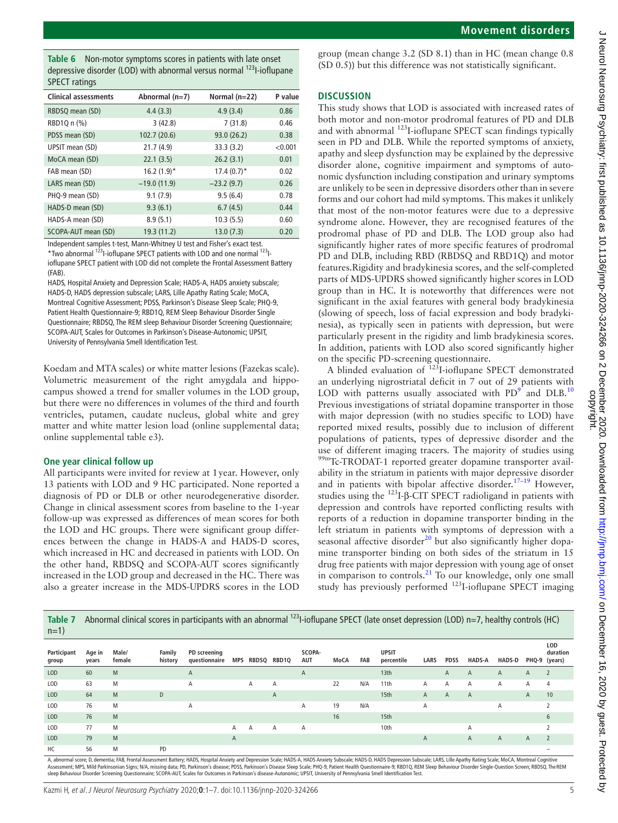J Neurol Neurosurg Psychiatry: first published as 10.1136/jnnp-2020-324266 on 2 December 2020. Downloaded from J Neurom J December 16, 2020 by guest. Protected by

**LOD** 

group (mean change 3.2 (SD 8.1) than in HC (mean change 0.8 (SD 0.5)) but this difference was not statistically significant.

## **DISCUSSION**

This study shows that LOD is associated with increased rates of both motor and non-motor prodromal features of PD and DLB and with abnormal <sup>123</sup>I-ioflupane SPECT scan findings typically seen in PD and DLB. While the reported symptoms of anxiety, apathy and sleep dysfunction may be explained by the depressive disorder alone, cognitive impairment and symptoms of autonomic dysfunction including constipation and urinary symptoms are unlikely to be seen in depressive disorders other than in severe forms and our cohort had mild symptoms. This makes it unlikely that most of the non-motor features were due to a depressive syndrome alone. However, they are recognised features of the prodromal phase of PD and DLB. The LOD group also had significantly higher rates of more specific features of prodromal PD and DLB, including RBD (RBDSQ and RBD1Q) and motor features.Rigidity and bradykinesia scores, and the self-completed parts of MDS-UPDRS showed significantly higher scores in LOD group than in HC. It is noteworthy that differences were not significant in the axial features with general body bradykinesia (slowing of speech, loss of facial expression and body bradykinesia), as typically seen in patients with depression, but were particularly present in the rigidity and limb bradykinesia scores. In addition, patients with LOD also scored significantly higher on the specific PD-screening questionnaire.

A blinded evaluation of <sup>123</sup>I-ioflupane SPECT demonstrated an underlying nigrostriatal deficit in 7 out of 29 patients with LOD with patterns usually associated with  $PD<sup>9</sup>$  $PD<sup>9</sup>$  $PD<sup>9</sup>$  and DLB.<sup>[10](#page-6-6)</sup> Previous investigations of striatal dopamine transporter in those with major depression (with no studies specific to LOD) have reported mixed results, possibly due to inclusion of different populations of patients, types of depressive disorder and the use of different imaging tracers. The majority of studies using 99mTc-TRODAT-1 reported greater dopamine transporter availability in the striatum in patients with major depressive disorder and in patients with bipolar affective disorder.<sup>17-19</sup> However, studies using the 123I-β-CIT SPECT radioligand in patients with depression and controls have reported conflicting results with reports of a reduction in dopamine transporter binding in the left striatum in patients with symptoms of depression with a seasonal affective disorder $^{20}$  $^{20}$  $^{20}$  but also significantly higher dopamine transporter binding on both sides of the striatum in 15 drug free patients with major depression with young age of onset in comparison to controls.<sup>21</sup> To our knowledge, only one small study has previously performed 123I-ioflupane SPECT imaging

Table 7 Abnormal clinical scores in participants with an abnormal <sup>123</sup>I-ioflupane SPECT (late onset depression (LOD) n=7, healthy controls (HC)  $n=1)$ 

| Participant<br>group | Age in<br>years | Male/<br>female | Family<br>history | PD screening<br>questionnaire |     |   | MPS RBDSQ RBD1Q | SCOPA-<br>AUT | MoCA | FAB | <b>UPSIT</b><br>percentile                                                                                                                                                                                                    | LARS | <b>PDSS</b>    | HADS-A HADS-D PHQ-9 (years) |   |              | duration |
|----------------------|-----------------|-----------------|-------------------|-------------------------------|-----|---|-----------------|---------------|------|-----|-------------------------------------------------------------------------------------------------------------------------------------------------------------------------------------------------------------------------------|------|----------------|-----------------------------|---|--------------|----------|
| LOD                  | 60              | M               |                   | A                             |     |   |                 | A             |      |     | 13th                                                                                                                                                                                                                          |      | A              | A                           | A | A            |          |
| LOD                  | 63              | M               |                   | Α                             |     | A | A               |               | 22   | N/A | 11th                                                                                                                                                                                                                          | Α    | A              | A                           | A | A            | 4        |
| LOD                  | 64              | M               | D                 |                               |     |   | A               |               |      |     | 15th                                                                                                                                                                                                                          | A    | $\overline{A}$ | A                           |   | $\mathsf{A}$ | 10       |
| LOD                  | 76              | M               |                   | Α                             |     |   |                 | A             | 19   | N/A |                                                                                                                                                                                                                               | Α    |                |                             | A |              |          |
| LOD                  | 76              | M               |                   |                               |     |   |                 |               | 16   |     | 15th                                                                                                                                                                                                                          |      |                |                             |   |              |          |
| LOD                  | 77              | M               |                   |                               | A A |   | A               | A             |      |     | 10th                                                                                                                                                                                                                          |      |                | Α                           |   |              |          |
| <b>LOD</b>           | 79              | M               |                   |                               | A   |   |                 |               |      |     |                                                                                                                                                                                                                               | A    |                | A                           | A | A            |          |
| НC                   | 56              | M               | <b>PD</b>         |                               |     |   |                 |               |      |     |                                                                                                                                                                                                                               |      |                |                             |   |              |          |
|                      |                 |                 |                   |                               |     |   |                 |               |      |     | the continuous company of the company of the contract of the company of the company of the company of the company of the company of the company of the company of the company of the company of the company of the company of |      |                |                             |   |              |          |

A, abnormal score; D, dementia; FAB, Frontal Assessment Battery; HADS, Hospital Anxiety and Depression Scale; HADS-A, HADS Anxiety Subscale; HADS-D, HADS Depression Subscale; LARS, Lille Apathy Rating Scale; MoCA, Montreal Assessment; MPS, Mild Parkinsonian Signs; N/A, missing data; PD, Parkinson's disease; PDSS, Parkinson's Disease Sleep Scale; PHQ-9, Patient Health Questionnaire-9; RBD1Q, REM Sleep Behaviour Disorder Single-Question Screen sleep Behaviour Disorder Screening Questionnaire; SCOPA-AUT, Scales for Outcomes in Parkinson's disease-Autonomic; UPSIT, University of Pennsylvania Smell Identification Test.

| <b>Clinical assessments</b> | Abnormal $(n=7)$ | Normal $(n=22)$ | P value |
|-----------------------------|------------------|-----------------|---------|
| RBDSQ mean (SD)             | 4.4(3.3)         | 4.9(3.4)        | 0.86    |
| RBD1Q n (%)                 | 3(42.8)          | 7(31.8)         | 0.46    |
| PDSS mean (SD)              | 102.7 (20.6)     | 93.0(26.2)      | 0.38    |
| UPSIT mean (SD)             | 21.7(4.9)        | 33.3(3.2)       | < 0.001 |
| MoCA mean (SD)              | 22.1(3.5)        | 26.2(3.1)       | 0.01    |
| FAB mean (SD)               | $16.2(1.9)$ *    | $17.4(0.7)^*$   | 0.02    |
| LARS mean (SD)              | $-19.0(11.9)$    | $-23.2(9.7)$    | 0.26    |
| PHQ-9 mean (SD)             | 9.1(7.9)         | 9.5(6.4)        | 0.78    |
| HADS-D mean (SD)            | 9.3(6.1)         | 6.7(4.5)        | 0.44    |
| HADS-A mean (SD)            | 8.9(5.1)         | 10.3(5.5)       | 0.60    |
| SCOPA-AUT mean (SD)         | 19.3 (11.2)      | 13.0(7.3)       | 0.20    |

Independent samples t-test, Mann-Whitney U test and Fisher's exact test.

\*Two abnormal 123I-ioflupane SPECT patients with LOD and one normal 123Iioflupane SPECT patient with LOD did not complete the Frontal Assessment Battery  $(FAR)$ 

HADS, Hospital Anxiety and Depression Scale; HADS-A, HADS anxiety subscale; HADS-D, HADS depression subscale; LARS, Lille Apathy Rating Scale; MoCA, Montreal Cognitive Assessment; PDSS, Parkinson's Disease Sleep Scale; PHQ-9, Patient Health Questionnaire-9; RBD1Q, REM Sleep Behaviour Disorder Single Questionnaire; RBDSQ, The REM sleep Behaviour Disorder Screening Questionnaire; SCOPA-AUT, Scales for Outcomes in Parkinson's Disease-Autonomic; UPSIT, University of Pennsylvania Smell Identification Test.

Koedam and MTA scales) or white matter lesions (Fazekas scale). Volumetric measurement of the right amygdala and hippocampus showed a trend for smaller volumes in the LOD group, but there were no differences in volumes of the third and fourth ventricles, putamen, caudate nucleus, global white and grey matter and white matter lesion load ([online supplemental data;](https://dx.doi.org/10.1136/jnnp-2020-324266) [online supplemental table e3\)](https://dx.doi.org/10.1136/jnnp-2020-324266).

## **One year clinical follow up**

All participants were invited for review at 1year. However, only 13 patients with LOD and 9 HC participated. None reported a diagnosis of PD or DLB or other neurodegenerative disorder. Change in clinical assessment scores from baseline to the 1-year follow-up was expressed as differences of mean scores for both the LOD and HC groups. There were significant group differences between the change in HADS-A and HADS-D scores, which increased in HC and decreased in patients with LOD. On the other hand, RBDSQ and SCOPA-AUT scores significantly increased in the LOD group and decreased in the HC. There was also a greater increase in the MDS-UPDRS scores in the LOD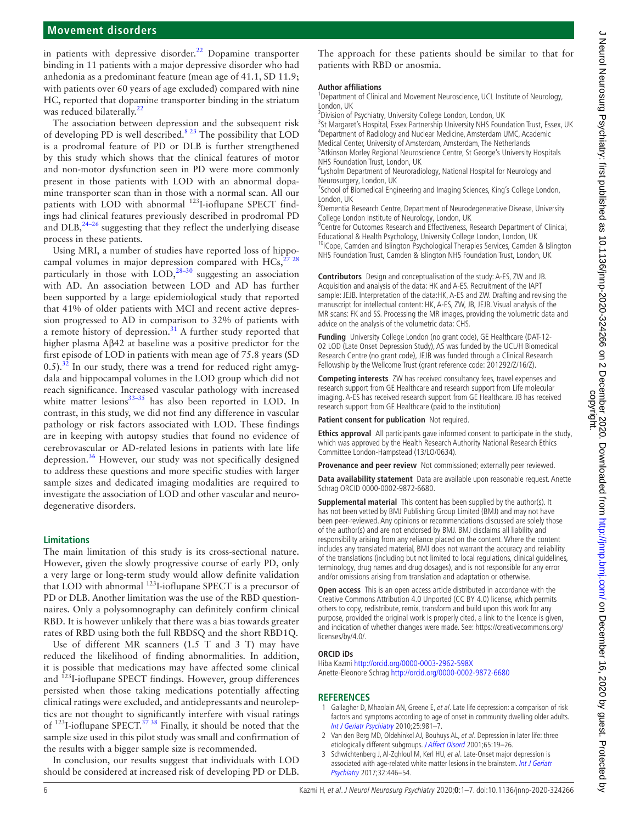## **Movement disorders**

in patients with depressive disorder.<sup>22</sup> Dopamine transporter binding in 11 patients with a major depressive disorder who had anhedonia as a predominant feature (mean age of 41.1, SD 11.9; with patients over 60 years of age excluded) compared with nine HC, reported that dopamine transporter binding in the striatum was reduced bilaterally.<sup>[22](#page-6-13)</sup>

The association between depression and the subsequent risk of developing PD is well described.<sup>8 23</sup> The possibility that LOD is a prodromal feature of PD or DLB is further strengthened by this study which shows that the clinical features of motor and non-motor dysfunction seen in PD were more commonly present in those patients with LOD with an abnormal dopamine transporter scan than in those with a normal scan. All our patients with LOD with abnormal <sup>123</sup>I-ioflupane SPECT findings had clinical features previously described in prodromal PD and  $DLB$ ,  $24-26$  suggesting that they reflect the underlying disease process in these patients.

Using MRI, a number of studies have reported loss of hippocampal volumes in major depression compared with  $HCs<sub>2</sub>$ <sup>2</sup> particularly in those with  $\text{LOD}$ ,<sup>28-30</sup> suggesting an association with AD. An association between LOD and AD has further been supported by a large epidemiological study that reported that 41% of older patients with MCI and recent active depression progressed to AD in comparison to 32% of patients with a remote history of depression. $31$  A further study reported that higher plasma Aβ42 at baseline was a positive predictor for the first episode of LOD in patients with mean age of 75.8 years (SD  $(0.5)$ .<sup>32</sup> In our study, there was a trend for reduced right amygdala and hippocampal volumes in the LOD group which did not reach significance. Increased vascular pathology with increased white matter lesions<sup>33-35</sup> has also been reported in LOD. In contrast, in this study, we did not find any difference in vascular pathology or risk factors associated with LOD. These findings are in keeping with autopsy studies that found no evidence of cerebrovascular or AD-related lesions in patients with late life depression.<sup>[36](#page-6-20)</sup> However, our study was not specifically designed to address these questions and more specific studies with larger sample sizes and dedicated imaging modalities are required to investigate the association of LOD and other vascular and neurodegenerative disorders.

#### **Limitations**

The main limitation of this study is its cross-sectional nature. However, given the slowly progressive course of early PD, only a very large or long-term study would allow definite validation that LOD with abnormal 123I-ioflupane SPECT is a precursor of PD or DLB. Another limitation was the use of the RBD questionnaires. Only a polysomnography can definitely confirm clinical RBD. It is however unlikely that there was a bias towards greater rates of RBD using both the full RBDSQ and the short RBD1Q.

Use of different MR scanners (1.5 T and 3 T) may have reduced the likelihood of finding abnormalities. In addition, it is possible that medications may have affected some clinical and 123I-ioflupane SPECT findings. However, group differences persisted when those taking medications potentially affecting clinical ratings were excluded, and antidepressants and neuroleptics are not thought to significantly interfere with visual ratings of  $^{123}$ I-ioflupane SPECT.<sup>37 38</sup> Finally, it should be noted that the sample size used in this pilot study was small and confirmation of the results with a bigger sample size is recommended.

In conclusion, our results suggest that individuals with LOD should be considered at increased risk of developing PD or DLB.

The approach for these patients should be similar to that for patients with RBD or anosmia.

#### **Author affiliations**

<sup>1</sup>Department of Clinical and Movement Neuroscience, UCL Institute of Neurology, London, UK

<sup>2</sup> Division of Psychiatry, University College London, London, UK

<sup>3</sup>St Margaret's Hospital, Essex Partnership University NHS Foundation Trust, Essex, UK 4 Department of Radiology and Nuclear Medicine, Amsterdam UMC, Academic Medical Center, University of Amsterdam, Amsterdam, The Netherlands <sup>5</sup> Atkinson Morley Regional Neuroscience Centre, St George's University Hospitals NHS Foundation Trust, London, UK

<sup>6</sup> Lysholm Department of Neuroradiology, National Hospital for Neurology and Neurosurgery, London, UK

<sup>7</sup>School of Biomedical Engineering and Imaging Sciences, King's College London, London, UK

8 Dementia Research Centre, Department of Neurodegenerative Disease, University College London Institute of Neurology, London, UK

<sup>9</sup> Centre for Outcomes Research and Effectiveness, Research Department of Clinical, Educational & Health Psychology, University College London, London, UK <sup>10</sup>iCope, Camden and Islington Psychological Therapies Services, Camden & Islington NHS Foundation Trust, Camden & Islington NHS Foundation Trust, London, UK

**Contributors** Design and conceptualisation of the study: A-ES, ZW and JB. Acquisition and analysis of the data: HK and A-ES. Recruitment of the IAPT sample: JEJB. Interpretation of the data:HK, A-ES and ZW. Drafting and revising the manuscript for intellectual content: HK, A-ES, ZW, JB, JEJB. Visual analysis of the MR scans: FK and SS. Processing the MR images, providing the volumetric data and advice on the analysis of the volumetric data: CHS.

**Funding** University College London (no grant code), GE Healthcare (DAT-12- 02 LOD (Late Onset Depression Study), AS was funded by the UCL/H Biomedical Research Centre (no grant code), JEJB was funded through a Clinical Research Fellowship by the Wellcome Trust (grant reference code: 201292/Z/16/Z).

**Competing interests** ZW has received consultancy fees, travel expenses and research support from GE Healthcare and research support from Life molecular imaging. A-ES has received research support from GE Healthcare. JB has received research support from GE Healthcare (paid to the institution)

**Patient consent for publication** Not required.

**Ethics approval** All participants gave informed consent to participate in the study, which was approved by the Health Research Authority National Research Ethics Committee London-Hampstead (13/LO/0634).

**Provenance and peer review** Not commissioned; externally peer reviewed.

**Data availability statement** Data are available upon reasonable request. Anette Schrag ORCID 0000-0002-9872-6680.

**Supplemental material** This content has been supplied by the author(s). It has not been vetted by BMJ Publishing Group Limited (BMJ) and may not have been peer-reviewed. Any opinions or recommendations discussed are solely those of the author(s) and are not endorsed by BMJ. BMJ disclaims all liability and responsibility arising from any reliance placed on the content. Where the content includes any translated material, BMJ does not warrant the accuracy and reliability of the translations (including but not limited to local regulations, clinical guidelines, terminology, drug names and drug dosages), and is not responsible for any error and/or omissions arising from translation and adaptation or otherwise.

**Open access** This is an open access article distributed in accordance with the Creative Commons Attribution 4.0 Unported (CC BY 4.0) license, which permits others to copy, redistribute, remix, transform and build upon this work for any purpose, provided the original work is properly cited, a link to the licence is given, and indication of whether changes were made. See: [https://creativecommons.org/](https://creativecommons.org/licenses/by/4.0/) [licenses/by/4.0/.](https://creativecommons.org/licenses/by/4.0/)

#### **ORCID iDs**

Hiba Kazmi<http://orcid.org/0000-0003-2962-598X> Anette-Eleonore Schrag<http://orcid.org/0000-0002-9872-6680>

#### **REFERENCES**

- <span id="page-5-0"></span>1 Gallagher D, Mhaolain AN, Greene E, et al. Late life depression: a comparison of risk factors and symptoms according to age of onset in community dwelling older adults. [Int J Geriatr Psychiatry](http://dx.doi.org/10.1002/gps.2438) 2010;25:981–7.
- <span id="page-5-1"></span>2 Van den Berg MD, Oldehinkel AJ, Bouhuys AL, et al. Depression in later life: three etiologically different subgroups. [J Affect Disord](http://dx.doi.org/10.1016/S0165-0327(00)00263-9) 2001;65:19–26.
- Schwichtenberg J, Al-Zghloul M, Kerl HU, et al. Late-Onset major depression is associated with age-related white matter lesions in the brainstem. Int J Geriatr [Psychiatry](http://dx.doi.org/10.1002/gps.4487) 2017;32:446–54.